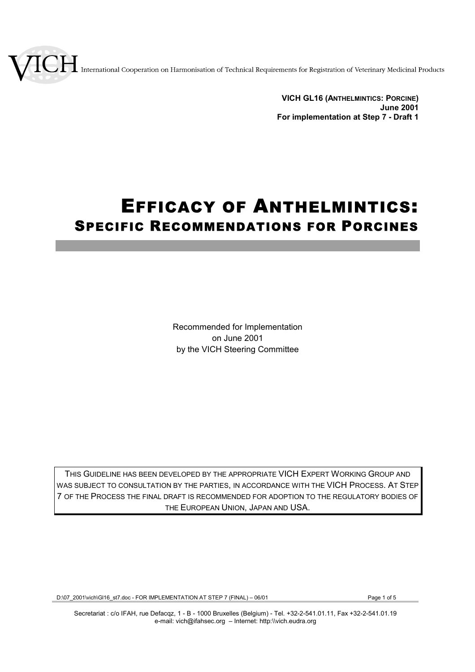International Cooperation on Harmonisation of Technical Requirements for Registration of Veterinary Medicinal Products

**VICH GL16 (ANTHELMINTICS: PORCINE) June 2001 For implementation at Step 7 - Draft 1**

# EFFICACY OF ANTHELMINTICS: SPECIFIC RECOMMENDATIONS FOR PORCINES

Recommended for Implementation on June 2001 by the VICH Steering Committee

THIS GUIDELINE HAS BEEN DEVELOPED BY THE APPROPRIATE VICH EXPERT WORKING GROUP AND WAS SUBJECT TO CONSULTATION BY THE PARTIES, IN ACCORDANCE WITH THE VICH PROCESS. AT STEP 7 OF THE PROCESS THE FINAL DRAFT IS RECOMMENDED FOR ADOPTION TO THE REGULATORY BODIES OF THE EUROPEAN UNION, JAPAN AND USA.

D:\07\_2001\vich\Gl16\_st7.doc - FOR IMPLEMENTATION AT STEP 7 (FINAL) – 06/01 Page 1 of 5

Secretariat : c/o IFAH, rue Defacqz, 1 - B - 1000 Bruxelles (Belgium) - Tel. +32-2-541.01.11, Fax +32-2-541.01.19 e-mail: vich@ifahsec.org – Internet: http:\\vich.eudra.org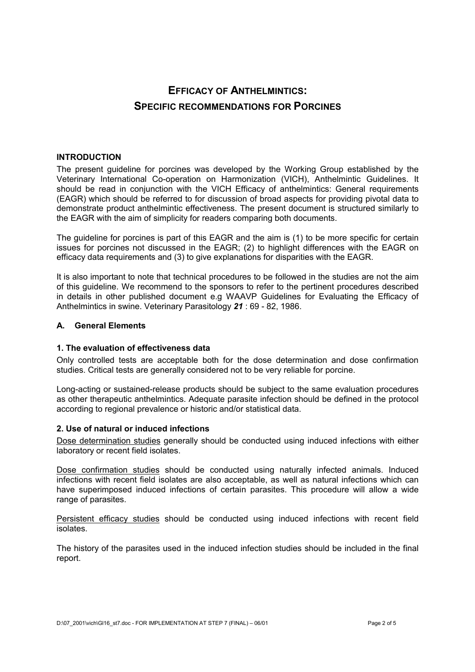# **EFFICACY OF ANTHELMINTICS: SPECIFIC RECOMMENDATIONS FOR PORCINES**

# **INTRODUCTION**

The present guideline for porcines was developed by the Working Group established by the Veterinary International Co-operation on Harmonization (VICH), Anthelmintic Guidelines. It should be read in conjunction with the VICH Efficacy of anthelmintics: General requirements (EAGR) which should be referred to for discussion of broad aspects for providing pivotal data to demonstrate product anthelmintic effectiveness. The present document is structured similarly to the EAGR with the aim of simplicity for readers comparing both documents.

The guideline for porcines is part of this EAGR and the aim is (1) to be more specific for certain issues for porcines not discussed in the EAGR; (2) to highlight differences with the EAGR on efficacy data requirements and (3) to give explanations for disparities with the EAGR.

It is also important to note that technical procedures to be followed in the studies are not the aim of this guideline. We recommend to the sponsors to refer to the pertinent procedures described in details in other published document e.g WAAVP Guidelines for Evaluating the Efficacy of Anthelmintics in swine. Veterinary Parasitology *21* : 69 - 82, 1986.

# **A. General Elements**

# **1. The evaluation of effectiveness data**

Only controlled tests are acceptable both for the dose determination and dose confirmation studies. Critical tests are generally considered not to be very reliable for porcine.

Long-acting or sustained-release products should be subject to the same evaluation procedures as other therapeutic anthelmintics. Adequate parasite infection should be defined in the protocol according to regional prevalence or historic and/or statistical data.

# **2. Use of natural or induced infections**

Dose determination studies generally should be conducted using induced infections with either laboratory or recent field isolates.

Dose confirmation studies should be conducted using naturally infected animals. Induced infections with recent field isolates are also acceptable, as well as natural infections which can have superimposed induced infections of certain parasites. This procedure will allow a wide range of parasites.

Persistent efficacy studies should be conducted using induced infections with recent field isolates.

The history of the parasites used in the induced infection studies should be included in the final report.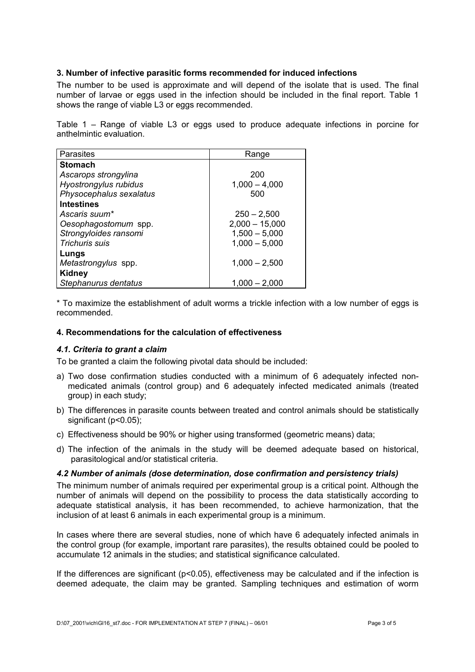# **3. Number of infective parasitic forms recommended for induced infections**

The number to be used is approximate and will depend of the isolate that is used. The final number of larvae or eggs used in the infection should be included in the final report. Table 1 shows the range of viable L3 or eggs recommended.

Table 1 – Range of viable L3 or eggs used to produce adequate infections in porcine for anthelmintic evaluation.

| Parasites               | Range            |
|-------------------------|------------------|
| <b>Stomach</b>          |                  |
| Ascarops strongylina    | 200              |
| Hyostrongylus rubidus   | $1,000 - 4,000$  |
| Physocephalus sexalatus | 500              |
| <b>Intestines</b>       |                  |
| Ascaris suum*           | $250 - 2,500$    |
| Oesophagostomum spp.    | $2,000 - 15,000$ |
| Strongyloides ransomi   | $1,500 - 5,000$  |
| <b>Trichuris suis</b>   | $1,000 - 5,000$  |
| Lungs                   |                  |
| Metastrongylus spp.     | $1,000 - 2,500$  |
| <b>Kidney</b>           |                  |
| Stephanurus dentatus    | $1.000 - 2.000$  |

\* To maximize the establishment of adult worms a trickle infection with a low number of eggs is recommended.

#### **4. Recommendations for the calculation of effectiveness**

# *4.1. Criteria to grant a claim*

To be granted a claim the following pivotal data should be included:

- a) Two dose confirmation studies conducted with a minimum of 6 adequately infected nonmedicated animals (control group) and 6 adequately infected medicated animals (treated group) in each study;
- b) The differences in parasite counts between treated and control animals should be statistically significant (p<0.05);
- c) Effectiveness should be 90% or higher using transformed (geometric means) data;
- d) The infection of the animals in the study will be deemed adequate based on historical, parasitological and/or statistical criteria.

#### *4.2 Number of animals (dose determination, dose confirmation and persistency trials)*

The minimum number of animals required per experimental group is a critical point. Although the number of animals will depend on the possibility to process the data statistically according to adequate statistical analysis, it has been recommended, to achieve harmonization, that the inclusion of at least 6 animals in each experimental group is a minimum.

In cases where there are several studies, none of which have 6 adequately infected animals in the control group (for example, important rare parasites), the results obtained could be pooled to accumulate 12 animals in the studies; and statistical significance calculated.

If the differences are significant ( $p$ <0.05), effectiveness may be calculated and if the infection is deemed adequate, the claim may be granted. Sampling techniques and estimation of worm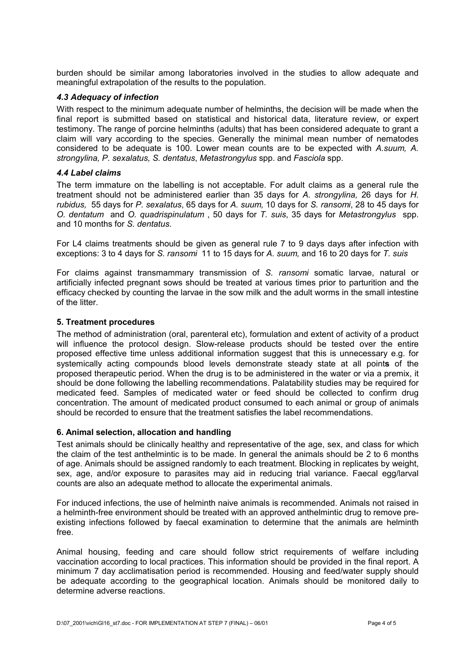burden should be similar among laboratories involved in the studies to allow adequate and meaningful extrapolation of the results to the population.

#### *4.3 Adequacy of infection*

With respect to the minimum adequate number of helminths, the decision will be made when the final report is submitted based on statistical and historical data, literature review, or expert testimony. The range of porcine helminths (adults) that has been considered adequate to grant a claim will vary according to the species. Generally the minimal mean number of nematodes considered to be adequate is 100. Lower mean counts are to be expected with *A.suum, A. strongylina, P. sexalatus, S. dentatus*, *Metastrongylus* spp. and *Fasciola* spp.

#### *4.4 Label claims*

The term immature on the labelling is not acceptable. For adult claims as a general rule the treatment should not be administered earlier than 35 days for *A. strongylina,* 26 days for *H. rubidus,* 55 days for *P. sexalatus*, 65 days for *A. suum,* 10 days for *S. ransomi*, 28 to 45 days for *O. dentatum* and *O. quadrispinulatum* , 50 days for *T. suis*, 35 days for *Metastrongylus* spp. and 10 months for *S. dentatus*.

For L4 claims treatments should be given as general rule 7 to 9 days days after infection with exceptions: 3 to 4 days for *S. ransomi* 11 to 15 days for *A. suum,* and 16 to 20 days for *T. suis*

For claims against transmammary transmission of *S. ransomi* somatic larvae, natural or artificially infected pregnant sows should be treated at various times prior to parturition and the efficacy checked by counting the larvae in the sow milk and the adult worms in the small intestine of the litter.

#### **5. Treatment procedures**

The method of administration (oral, parenteral etc), formulation and extent of activity of a product will influence the protocol design. Slow-release products should be tested over the entire proposed effective time unless additional information suggest that this is unnecessary e.g. for systemically acting compounds blood levels demonstrate steady state at all point**s** of the proposed therapeutic period. When the drug is to be administered in the water or via a premix, it should be done following the labelling recommendations. Palatability studies may be required for medicated feed. Samples of medicated water or feed should be collected to confirm drug concentration. The amount of medicated product consumed to each animal or group of animals should be recorded to ensure that the treatment satisfies the label recommendations.

# **6. Animal selection, allocation and handling**

Test animals should be clinically healthy and representative of the age, sex, and class for which the claim of the test anthelmintic is to be made. In general the animals should be 2 to 6 months of age. Animals should be assigned randomly to each treatment. Blocking in replicates by weight, sex, age, and/or exposure to parasites may aid in reducing trial variance. Faecal egg/larval counts are also an adequate method to allocate the experimental animals.

For induced infections, the use of helminth naive animals is recommended. Animals not raised in a helminth-free environment should be treated with an approved anthelmintic drug to remove preexisting infections followed by faecal examination to determine that the animals are helminth free.

Animal housing, feeding and care should follow strict requirements of welfare including vaccination according to local practices. This information should be provided in the final report. A minimum 7 day acclimatisation period is recommended. Housing and feed/water supply should be adequate according to the geographical location. Animals should be monitored daily to determine adverse reactions.